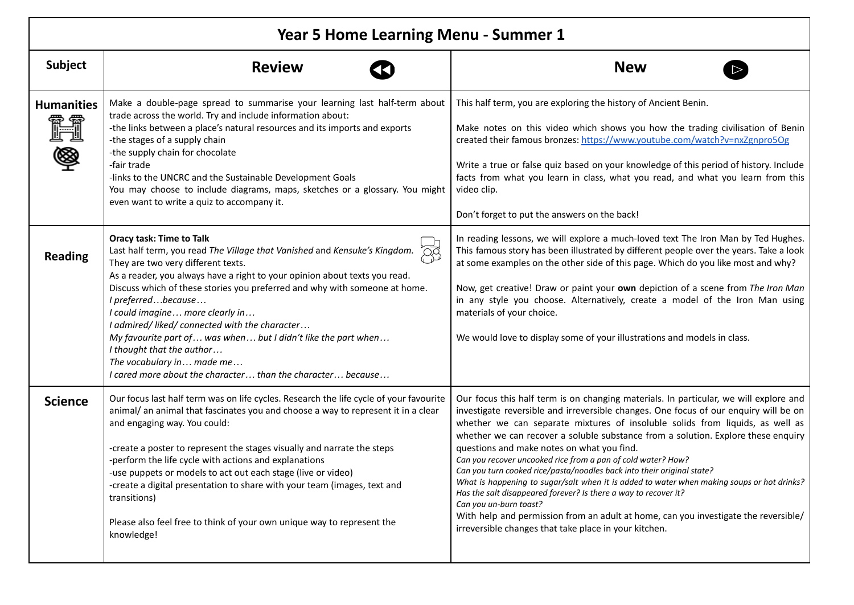| <b>Year 5 Home Learning Menu - Summer 1</b> |                                                                                                                                                                                                                                                                                                                                                                                                                                                                                                                                                                                                                       |                                                                                                                                                                                                                                                                                                                                                                                                                                                                                                                                                                                                                                                                                                                                                                                                                                                                                        |
|---------------------------------------------|-----------------------------------------------------------------------------------------------------------------------------------------------------------------------------------------------------------------------------------------------------------------------------------------------------------------------------------------------------------------------------------------------------------------------------------------------------------------------------------------------------------------------------------------------------------------------------------------------------------------------|----------------------------------------------------------------------------------------------------------------------------------------------------------------------------------------------------------------------------------------------------------------------------------------------------------------------------------------------------------------------------------------------------------------------------------------------------------------------------------------------------------------------------------------------------------------------------------------------------------------------------------------------------------------------------------------------------------------------------------------------------------------------------------------------------------------------------------------------------------------------------------------|
| Subject                                     | <b>Review</b>                                                                                                                                                                                                                                                                                                                                                                                                                                                                                                                                                                                                         | <b>New</b>                                                                                                                                                                                                                                                                                                                                                                                                                                                                                                                                                                                                                                                                                                                                                                                                                                                                             |
| <b>Humanities</b><br><u>r</u>               | Make a double-page spread to summarise your learning last half-term about<br>trade across the world. Try and include information about:<br>-the links between a place's natural resources and its imports and exports<br>-the stages of a supply chain<br>-the supply chain for chocolate<br>-fair trade<br>-links to the UNCRC and the Sustainable Development Goals<br>You may choose to include diagrams, maps, sketches or a glossary. You might<br>even want to write a quiz to accompany it.                                                                                                                    | This half term, you are exploring the history of Ancient Benin.<br>Make notes on this video which shows you how the trading civilisation of Benin<br>created their famous bronzes: https://www.youtube.com/watch?v=nxZgnpro5Og<br>Write a true or false quiz based on your knowledge of this period of history. Include<br>facts from what you learn in class, what you read, and what you learn from this<br>video clip.<br>Don't forget to put the answers on the back!                                                                                                                                                                                                                                                                                                                                                                                                              |
| <b>Reading</b>                              | <b>Oracy task: Time to Talk</b><br>Last half term, you read The Village that Vanished and Kensuke's Kingdom.<br>They are two very different texts.<br>As a reader, you always have a right to your opinion about texts you read.<br>Discuss which of these stories you preferred and why with someone at home.<br>I preferredbecause<br>I could imagine more clearly in<br>I admired/ liked/ connected with the character<br>My favourite part of  was when  but I didn't like the part when<br>I thought that the author<br>The vocabulary in made me<br>I cared more about the character than the character because | In reading lessons, we will explore a much-loved text The Iron Man by Ted Hughes.<br>This famous story has been illustrated by different people over the years. Take a look<br>at some examples on the other side of this page. Which do you like most and why?<br>Now, get creative! Draw or paint your own depiction of a scene from The Iron Man<br>in any style you choose. Alternatively, create a model of the Iron Man using<br>materials of your choice.<br>We would love to display some of your illustrations and models in class.                                                                                                                                                                                                                                                                                                                                           |
| <b>Science</b>                              | Our focus last half term was on life cycles. Research the life cycle of your favourite<br>animal/ an animal that fascinates you and choose a way to represent it in a clear<br>and engaging way. You could:<br>-create a poster to represent the stages visually and narrate the steps<br>-perform the life cycle with actions and explanations<br>-use puppets or models to act out each stage (live or video)<br>-create a digital presentation to share with your team (images, text and<br>transitions)<br>Please also feel free to think of your own unique way to represent the<br>knowledge!                   | Our focus this half term is on changing materials. In particular, we will explore and<br>investigate reversible and irreversible changes. One focus of our enquiry will be on<br>whether we can separate mixtures of insoluble solids from liquids, as well as<br>whether we can recover a soluble substance from a solution. Explore these enquiry<br>questions and make notes on what you find.<br>Can you recover uncooked rice from a pan of cold water? How?<br>Can you turn cooked rice/pasta/noodles back into their original state?<br>What is happening to sugar/salt when it is added to water when making soups or hot drinks?<br>Has the salt disappeared forever? Is there a way to recover it?<br>Can you un-burn toast?<br>With help and permission from an adult at home, can you investigate the reversible/<br>irreversible changes that take place in your kitchen. |